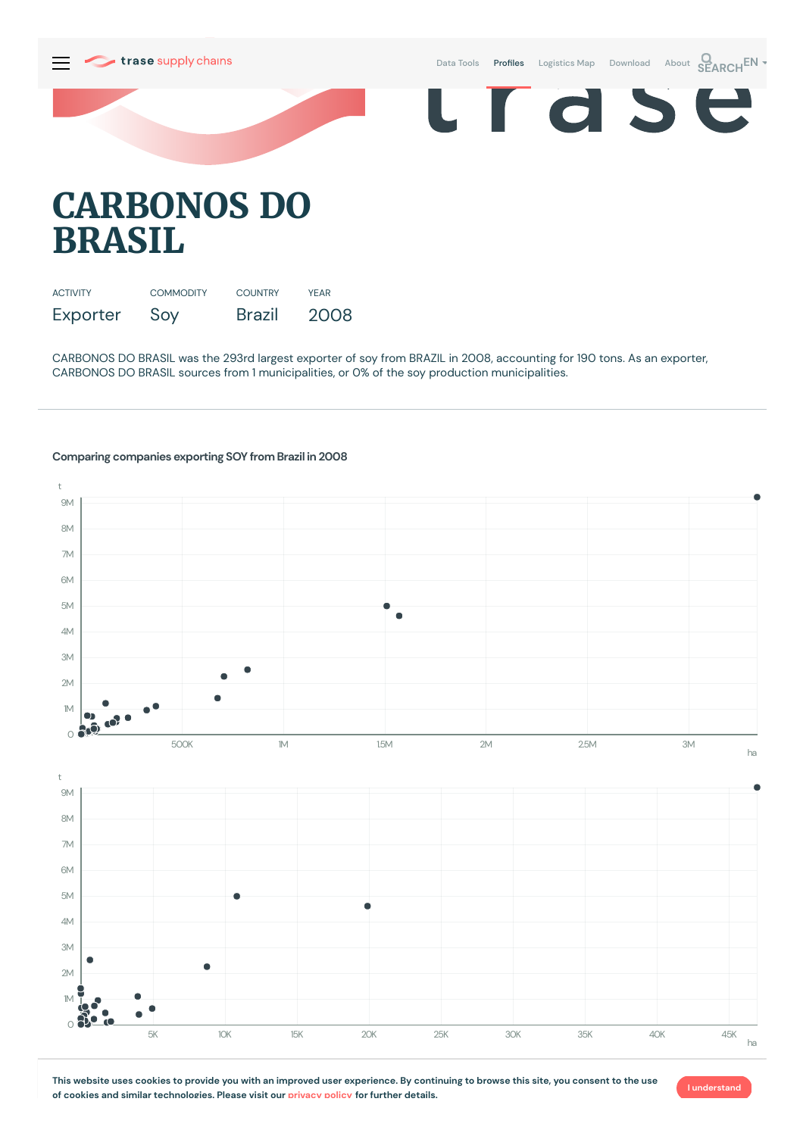

## **CARBONOS DO BRASIL**

| <b>ACTIVITY</b> | <b>COMMODITY</b> | <b>COUNTRY</b> | YFAR |
|-----------------|------------------|----------------|------|
| Exporter        | Soy              | Brazil         | 2008 |

CARBONOS DO BRASIL was the 293rd largest exporter of soy from BRAZIL in 2008, accounting for 190 tons. As an exporter, CARBONOS DO BRASIL sources from 1 municipalities, or 0% of the soy production municipalities.

## 9M 8M 7M 6M 5M Ċ 4M 3M 2M  $1M$  $\bullet$  $\bullet$  $0.80$ 500K 1M 15M 2M 20M 25M 3M ha t 9M 8M 7M 6M 5M  $\blacksquare$ 4M 3M C 2M  $M_{\odot}$  $\Omega$ 5K 10K 15K 20K 25K 30K 35K 40K 45K ha

## **Comparing companies exporting SOY from Brazil in 2008**

t

This website uses cookies to provide you with an improved user experience. By continuing to browse this site, you consent to the use **of cookies and similar technologies. Please visit our [privacy](https://www.trase.earth/privacy-policy) policy for further details.**